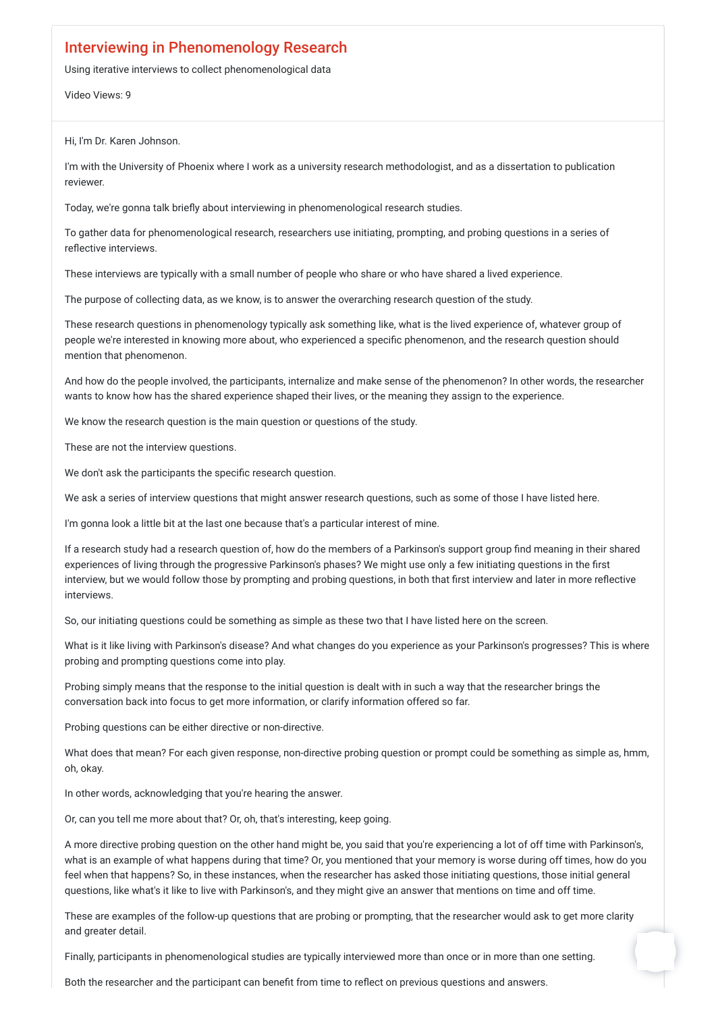## Interviewing in Phenomenology Research

Using iterative interviews to collect phenomenological data

Video Views: 9

Hi, I'm Dr. Karen Johnson.

I'm with the University of Phoenix where I work as a university research methodologist, and as a dissertation to publication reviewer.

Today, we're gonna talk briefly about interviewing in phenomenological research studies.

To gather data for phenomenological research, researchers use initiating, prompting, and probing questions in a series of reflective interviews.

These interviews are typically with a small number of people who share or who have shared a lived experience.

The purpose of collecting data, as we know, is to answer the overarching research question of the study.

These research questions in phenomenology typically ask something like, what is the lived experience of, whatever group of people we're interested in knowing more about, who experienced a specific phenomenon, and the research question should mention that phenomenon.

And how do the people involved, the participants, internalize and make sense of the phenomenon? In other words, the researcher wants to know how has the shared experience shaped their lives, or the meaning they assign to the experience.

We know the research question is the main question or questions of the study.

These are not the interview questions.

We don't ask the participants the specific research question.

We ask a series of interview questions that might answer research questions, such as some of those I have listed here.

I'm gonna look a little bit at the last one because that's a particular interest of mine.

If a research study had a research question of, how do the members of a Parkinson's support group find meaning in their shared experiences of living through the progressive Parkinson's phases? We might use only a few initiating questions in the first interview, but we would follow those by prompting and probing questions, in both that first interview and later in more reflective interviews.

So, our initiating questions could be something as simple as these two that I have listed here on the screen.

What is it like living with Parkinson's disease? And what changes do you experience as your Parkinson's progresses? This is where probing and prompting questions come into play.

Probing simply means that the response to the initial question is dealt with in such a way that the researcher brings the conversation back into focus to get more information, or clarify information offered so far.

Probing questions can be either directive or non-directive.

What does that mean? For each given response, non-directive probing question or prompt could be something as simple as, hmm,

oh, okay.

In other words, acknowledging that you're hearing the answer.

Or, can you tell me more about that? Or, oh, that's interesting, keep going.

A more directive probing question on the other hand might be, you said that you're experiencing a lot of off time with Parkinson's, what is an example of what happens during that time? Or, you mentioned that your memory is worse during off times, how do you feel when that happens? So, in these instances, when the researcher has asked those initiating questions, those initial general questions, like what's it like to live with Parkinson's, and they might give an answer that mentions on time and off time.

These are examples of the follow-up questions that are probing or prompting, that the researcher would ask to get more clarity and greater detail.

Finally, participants in phenomenological studies are typically interviewed more than once or in more than one setting.

Both the researcher and the participant can benefit from time to reflect on previous questions and answers.